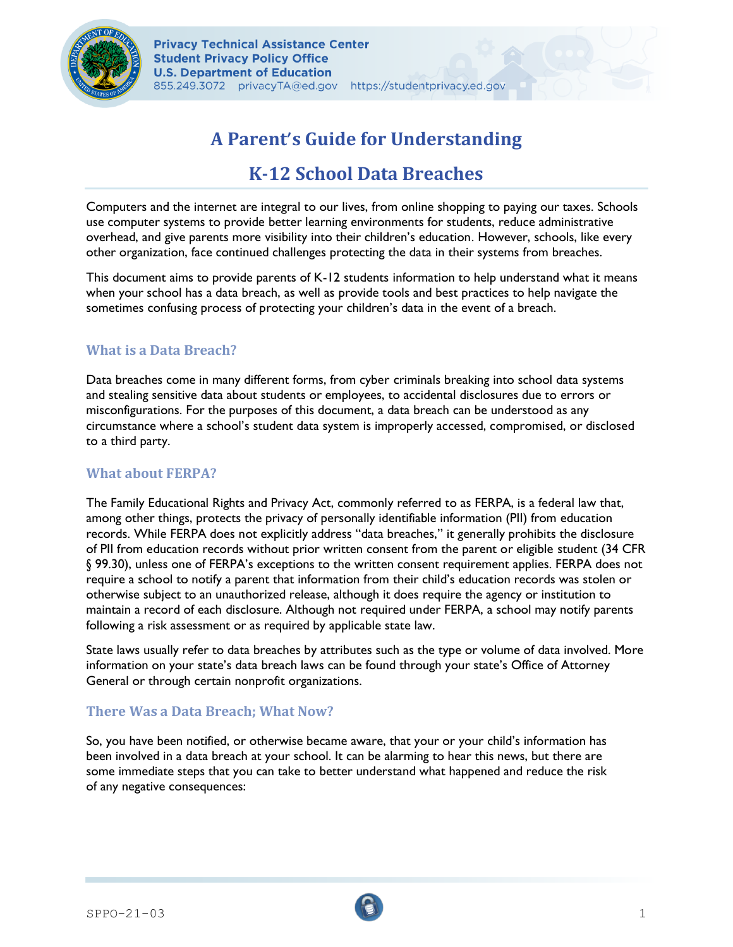

# **A Parent**'**s Guide for Understanding**

## **K-12 School Data Breaches**

Computers and the internet are integral to our lives, from online shopping to paying our taxes. Schools use computer systems to provide better learning environments for students, reduce administrative overhead, and give parents more visibility into their children's education. However, schools, like every other organization, face continued challenges protecting the data in their systems from breaches.

This document aims to provide parents of K-12 students information to help understand what it means when your school has a data breach, as well as provide tools and best practices to help navigate the sometimes confusing process of protecting your children's data in the event of a breach.

#### **What is a Data Breach?**

Data breaches come in many different forms, from cyber criminals breaking into school data systems and stealing sensitive data about students or employees, to accidental disclosures due to errors or misconfigurations. For the purposes of this document, a data breach can be understood as any circumstance where a school's student data system is improperly accessed, compromised, or disclosed to a third party.

#### **What about FERPA?**

The Family Educational Rights and Privacy Act, commonly referred to as FERPA, is a federal law that, among other things, protects the privacy of personally identifiable information (PII) from education records. While FERPA does not explicitly address "data breaches," it generally prohibits the disclosure of PII from education records without prior written consent from the parent or eligible student (34 CFR § 99.30), unless one of FERPA's exceptions to the written consent requirement applies. FERPA does not require a school to notify a parent that information from their child's education records was stolen or otherwise subject to an unauthorized release, although it does require the agency or institution to maintain a record of each disclosure. Although not required under FERPA, a school may notify parents following a risk assessment or as required by applicable state law.

State laws usually refer to data breaches by attributes such as the type or volume of data involved. More information on your state's data breach laws can be found through your state's Office of Attorney General or through certain nonprofit organizations.

#### **There Was a Data Breach; What Now?**

So, you have been notified, or otherwise became aware, that your or your child's information has been involved in a data breach at your school. It can be alarming to hear this news, but there are some immediate steps that you can take to better understand what happened and reduce the risk of any negative consequences: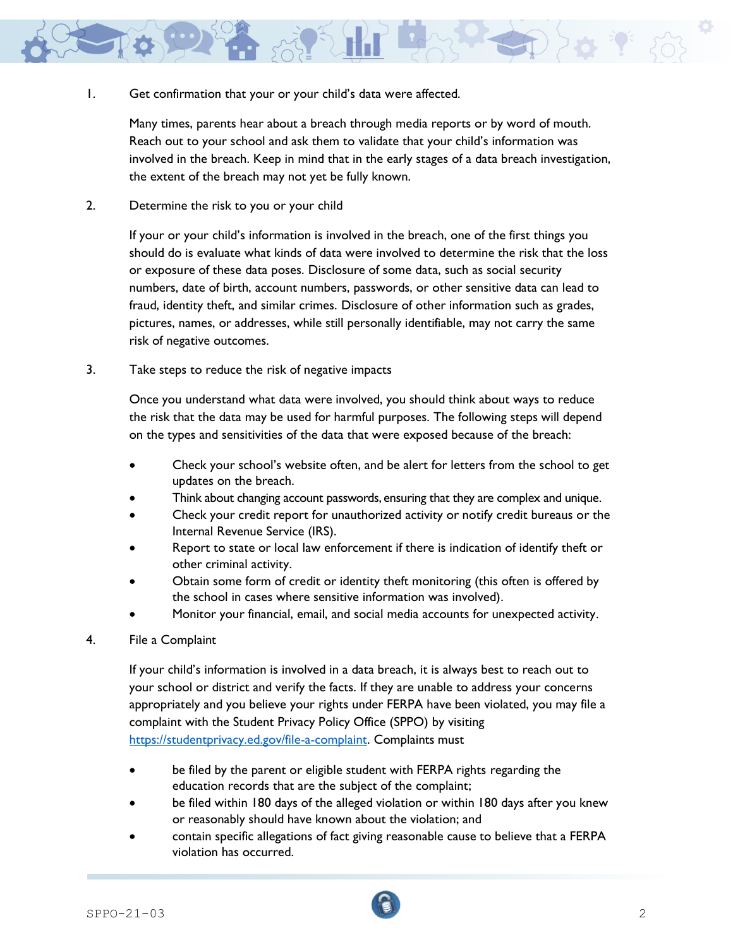

1. Get confirmation that your or your child's data were affected.

Many times, parents hear about a breach through media reports or by word of mouth. Reach out to your school and ask them to validate that your child's information was involved in the breach. Keep in mind that in the early stages of a data breach investigation, the extent of the breach may not yet be fully known.

2. Determine the risk to you or your child

If your or your child's information is involved in the breach, one of the first things you should do is evaluate what kinds of data were involved to determine the risk that the loss or exposure of these data poses. Disclosure of some data, such as social security numbers, date of birth, account numbers, passwords, or other sensitive data can lead to fraud, identity theft, and similar crimes. Disclosure of other information such as grades, pictures, names, or addresses, while still personally identifiable, may not carry the same risk of negative outcomes.

3. Take steps to reduce the risk of negative impacts

Once you understand what data were involved, you should think about ways to reduce the risk that the data may be used for harmful purposes. The following steps will depend on the types and sensitivities of the data that were exposed because of the breach:

- Check your school's website often, and be alert for letters from the school to get updates on the breach.
- Think about changing account passwords, ensuring that they are complex and unique.
- Check your credit report for unauthorized activity or notify credit bureaus or the Internal Revenue Service (IRS).
- Report to state or local law enforcement if there is indication of identify theft or other criminal activity.
- Obtain some form of credit or identity theft monitoring (this often is offered by the school in cases where sensitive information was involved).
- Monitor your financial, email, and social media accounts for unexpected activity.
- 4. File a Complaint

If your child's information is involved in a data breach, it is always best to reach out to your school or district and verify the facts. If they are unable to address your concerns appropriately and you believe your rights under FERPA have been violated, you may file a complaint with the Student Privacy Policy Office (SPPO) by visiting [https://studentprivacy.ed.gov/file-a-complaint.](https://studentprivacy.ed.gov/file-a-complaint) Complaints must

- be filed by the parent or eligible student with FERPA rights regarding the education records that are the subject of the complaint;
- be filed within 180 days of the alleged violation or within 180 days after you knew or reasonably should have known about the violation; and
- contain specific allegations of fact giving reasonable cause to believe that a FERPA violation has occurred.